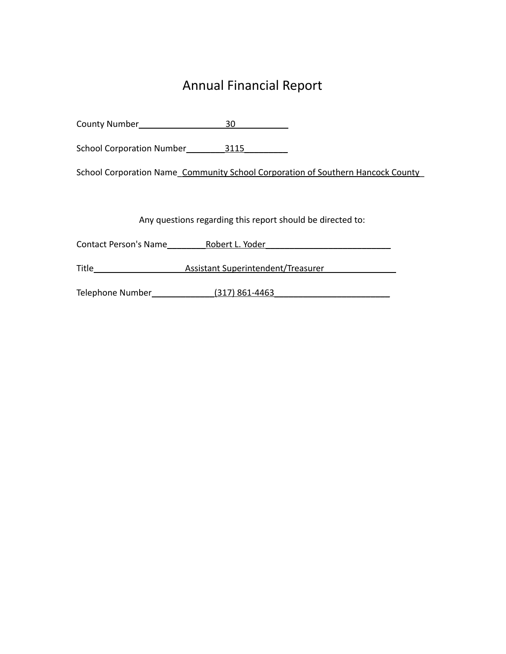# Annual Financial Report

County Number\_\_\_\_\_\_\_\_\_\_\_\_\_\_\_\_\_\_30\_\_\_\_\_\_\_\_\_\_\_

School Corporation Number\_\_\_\_\_\_\_\_3115\_\_\_\_\_\_\_\_\_

School Corporation Name\_Community School Corporation of Southern Hancock County\_

Any questions regarding this report should be directed to:

Contact Person's Name\_\_\_\_\_\_\_\_\_\_\_Robert L. Yoder\_\_\_\_\_\_\_\_\_\_\_\_\_\_\_\_\_\_\_\_\_\_\_\_\_\_\_\_\_\_\_\_\_

Title\_\_\_\_\_\_\_\_\_\_\_\_\_\_\_\_\_\_\_Assistant Superintendent/Treasurer\_\_\_\_\_\_\_\_\_\_\_\_\_\_

Telephone Number\_\_\_\_\_\_\_\_\_\_\_\_\_(317) 861-4463\_\_\_\_\_\_\_\_\_\_\_\_\_\_\_\_\_\_\_\_\_\_\_\_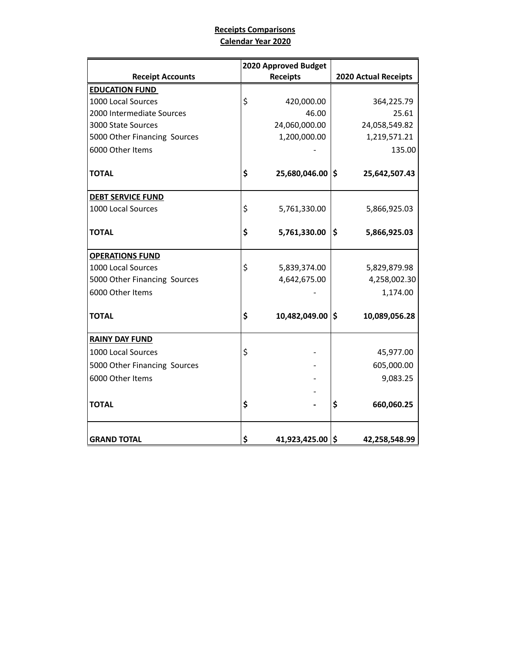## **Receipts Comparisons Calendar Year 2020**

|                              | 2020 Approved Budget   |                             |
|------------------------------|------------------------|-----------------------------|
| <b>Receipt Accounts</b>      | <b>Receipts</b>        | <b>2020 Actual Receipts</b> |
| <b>EDUCATION FUND</b>        |                        |                             |
| 1000 Local Sources           | \$<br>420,000.00       | 364,225.79                  |
| 2000 Intermediate Sources    | 46.00                  | 25.61                       |
| 3000 State Sources           | 24,060,000.00          | 24,058,549.82               |
| 5000 Other Financing Sources | 1,200,000.00           | 1,219,571.21                |
| 6000 Other Items             |                        | 135.00                      |
| <b>TOTAL</b>                 | \$<br>25,680,046.00 \$ | 25,642,507.43               |
| <b>DEBT SERVICE FUND</b>     |                        |                             |
| 1000 Local Sources           | \$<br>5,761,330.00     | 5,866,925.03                |
| <b>TOTAL</b>                 | \$<br>5,761,330.00     | \$<br>5,866,925.03          |
| <b>OPERATIONS FUND</b>       |                        |                             |
| 1000 Local Sources           | \$<br>5,839,374.00     | 5,829,879.98                |
| 5000 Other Financing Sources | 4,642,675.00           | 4,258,002.30                |
| 6000 Other Items             |                        | 1,174.00                    |
| <b>TOTAL</b>                 | \$<br>10,482,049.00    | \$<br>10,089,056.28         |
| <b>RAINY DAY FUND</b>        |                        |                             |
| 1000 Local Sources           | \$                     | 45,977.00                   |
| 5000 Other Financing Sources |                        | 605,000.00                  |
| 6000 Other Items             |                        | 9,083.25                    |
|                              |                        |                             |
| <b>TOTAL</b>                 | \$                     | \$<br>660,060.25            |
|                              |                        |                             |
| <b>GRAND TOTAL</b>           | \$<br>41,923,425.00 \$ | 42,258,548.99               |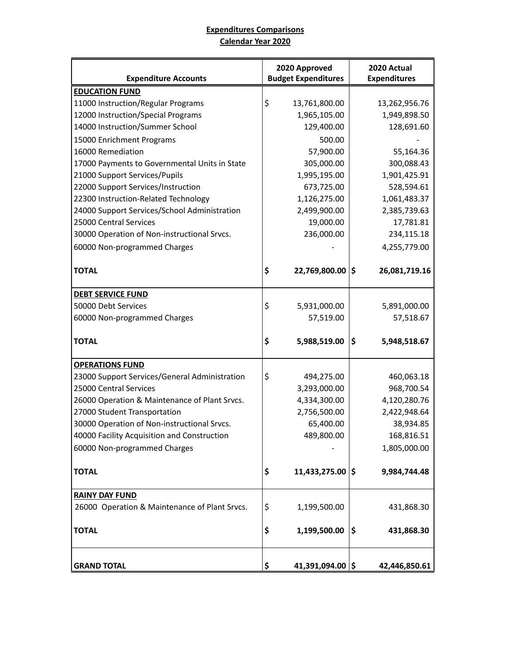# **Expenditures Comparisons Calendar Year 2020**

| <b>Expenditure Accounts</b>                   | 2020 Approved<br><b>Budget Expenditures</b> |     | 2020 Actual<br><b>Expenditures</b> |
|-----------------------------------------------|---------------------------------------------|-----|------------------------------------|
| <b>EDUCATION FUND</b>                         |                                             |     |                                    |
| 11000 Instruction/Regular Programs            | \$<br>13,761,800.00                         |     | 13,262,956.76                      |
| 12000 Instruction/Special Programs            | 1,965,105.00                                |     | 1,949,898.50                       |
| 14000 Instruction/Summer School               | 129,400.00                                  |     | 128,691.60                         |
| 15000 Enrichment Programs                     | 500.00                                      |     |                                    |
| 16000 Remediation                             | 57,900.00                                   |     | 55,164.36                          |
| 17000 Payments to Governmental Units in State | 305,000.00                                  |     | 300,088.43                         |
| 21000 Support Services/Pupils                 | 1,995,195.00                                |     | 1,901,425.91                       |
| 22000 Support Services/Instruction            | 673,725.00                                  |     | 528,594.61                         |
| 22300 Instruction-Related Technology          | 1,126,275.00                                |     | 1,061,483.37                       |
| 24000 Support Services/School Administration  | 2,499,900.00                                |     | 2,385,739.63                       |
| 25000 Central Services                        | 19,000.00                                   |     | 17,781.81                          |
| 30000 Operation of Non-instructional Srvcs.   | 236,000.00                                  |     | 234,115.18                         |
| 60000 Non-programmed Charges                  |                                             |     | 4,255,779.00                       |
| <b>TOTAL</b>                                  | \$<br>22,769,800.00 \$                      |     | 26,081,719.16                      |
| <b>DEBT SERVICE FUND</b>                      |                                             |     |                                    |
| 50000 Debt Services                           | \$<br>5,931,000.00                          |     | 5,891,000.00                       |
| 60000 Non-programmed Charges                  | 57,519.00                                   |     | 57,518.67                          |
| <b>TOTAL</b>                                  | \$<br>5,988,519.00                          | \$  | 5,948,518.67                       |
| <b>OPERATIONS FUND</b>                        |                                             |     |                                    |
| 23000 Support Services/General Administration | \$<br>494,275.00                            |     | 460,063.18                         |
| 25000 Central Services                        | 3,293,000.00                                |     | 968,700.54                         |
| 26000 Operation & Maintenance of Plant Srvcs. | 4,334,300.00                                |     | 4,120,280.76                       |
| 27000 Student Transportation                  | 2,756,500.00                                |     | 2,422,948.64                       |
| 30000 Operation of Non-instructional Srvcs.   | 65,400.00                                   |     | 38,934.85                          |
| 40000 Facility Acquisition and Construction   | 489,800.00                                  |     | 168,816.51                         |
| 60000 Non-programmed Charges                  |                                             |     | 1,805,000.00                       |
| <b>TOTAL</b>                                  | \$<br>11,433,275.00                         | ۱\$ | 9,984,744.48                       |
|                                               |                                             |     |                                    |
| <b>RAINY DAY FUND</b>                         |                                             |     |                                    |
| 26000 Operation & Maintenance of Plant Srvcs. | \$<br>1,199,500.00                          |     | 431,868.30                         |
| <b>TOTAL</b>                                  | \$<br>1,199,500.00                          | \$  | 431,868.30                         |
| <b>GRAND TOTAL</b>                            | \$<br>41,391,094.00 \$                      |     | 42,446,850.61                      |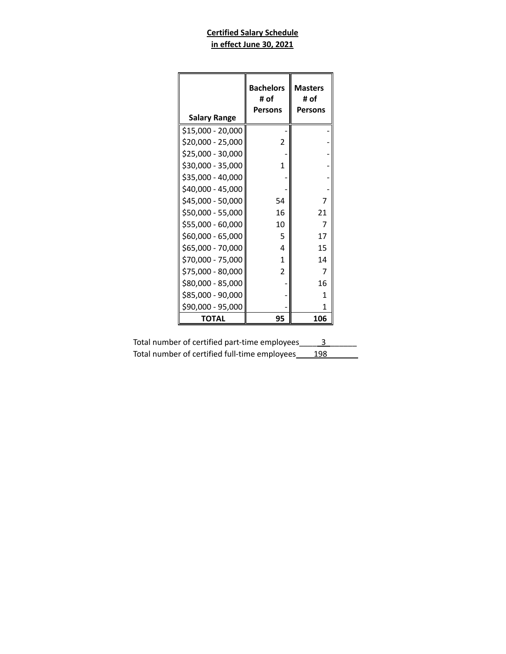## **Certified Salary Schedule in effect June 30, 2021**

| <b>Salary Range</b> | <b>Bachelors</b><br># of<br><b>Persons</b> | <b>Masters</b><br># of<br><b>Persons</b> |
|---------------------|--------------------------------------------|------------------------------------------|
| \$15,000 - 20,000   |                                            |                                          |
| \$20,000 - 25,000   | $\overline{2}$                             |                                          |
| \$25,000 - 30,000   |                                            |                                          |
| \$30,000 - 35,000   | 1                                          |                                          |
| \$35,000 - 40,000   |                                            |                                          |
| \$40,000 - 45,000   |                                            |                                          |
| \$45,000 - 50,000   | 54                                         | 7                                        |
| \$50,000 - 55,000   | 16                                         | 21                                       |
| \$55,000 - 60,000   | 10                                         |                                          |
| \$60,000 - 65,000   | 5                                          | 17                                       |
| \$65,000 - 70,000   | 4                                          | 15                                       |
| \$70,000 - 75,000   | 1                                          | 14                                       |
| \$75,000 - 80,000   | $\overline{2}$                             |                                          |
| \$80,000 - 85,000   |                                            | 16                                       |
| \$85,000 - 90,000   |                                            | 1                                        |
| \$90,000 - 95,000   |                                            | 1                                        |
| ΤΟΤΑL               | 95                                         | 106                                      |

| Total number of certified part-time employees |     |
|-----------------------------------------------|-----|
| Total number of certified full-time employees | 198 |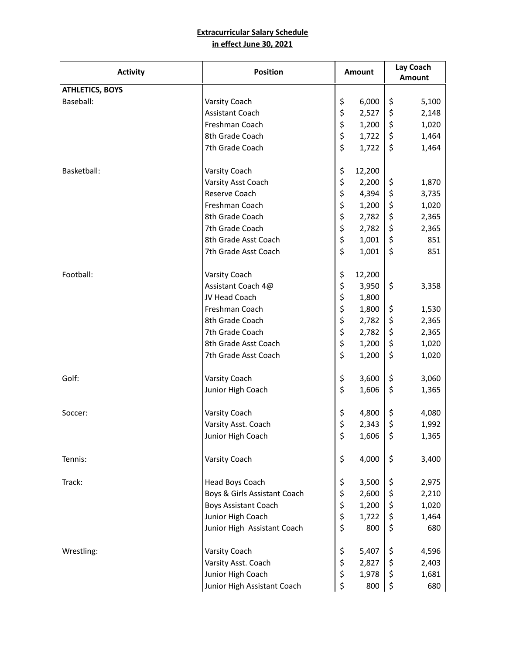#### **Extracurricular Salary Schedule in effect June 30, 2021**

| <b>Activity</b>        | <b>Position</b>              | Amount       | Lay Coach<br><b>Amount</b> |     |
|------------------------|------------------------------|--------------|----------------------------|-----|
| <b>ATHLETICS, BOYS</b> |                              |              |                            |     |
| Baseball:              | Varsity Coach                | \$<br>6,000  | \$<br>5,100                |     |
|                        | Assistant Coach              | \$<br>2,527  | \$<br>2,148                |     |
|                        | Freshman Coach               | \$<br>1,200  | \$<br>1,020                |     |
|                        | 8th Grade Coach              | \$<br>1,722  | \$<br>1,464                |     |
|                        | 7th Grade Coach              | \$<br>1,722  | \$<br>1,464                |     |
| Basketball:            | Varsity Coach                | \$<br>12,200 |                            |     |
|                        | Varsity Asst Coach           | \$<br>2,200  | \$<br>1,870                |     |
|                        | Reserve Coach                | \$<br>4,394  | \$<br>3,735                |     |
|                        | Freshman Coach               | \$<br>1,200  | \$<br>1,020                |     |
|                        | 8th Grade Coach              | \$<br>2,782  | \$<br>2,365                |     |
|                        | 7th Grade Coach              | \$<br>2,782  | \$<br>2,365                |     |
|                        | 8th Grade Asst Coach         | \$<br>1,001  | \$                         | 851 |
|                        | 7th Grade Asst Coach         | \$<br>1,001  | \$                         | 851 |
| Football:              | Varsity Coach                | \$<br>12,200 |                            |     |
|                        | Assistant Coach 4@           | \$<br>3,950  | \$<br>3,358                |     |
|                        | JV Head Coach                | \$<br>1,800  |                            |     |
|                        | Freshman Coach               | \$<br>1,800  | \$<br>1,530                |     |
|                        | 8th Grade Coach              | \$<br>2,782  | \$<br>2,365                |     |
|                        | 7th Grade Coach              | \$<br>2,782  | \$<br>2,365                |     |
|                        | 8th Grade Asst Coach         | \$<br>1,200  | \$<br>1,020                |     |
|                        | 7th Grade Asst Coach         | \$<br>1,200  | \$<br>1,020                |     |
| Golf:                  | Varsity Coach                | \$<br>3,600  | \$<br>3,060                |     |
|                        | Junior High Coach            | \$<br>1,606  | \$<br>1,365                |     |
| Soccer:                | Varsity Coach                | \$<br>4,800  | \$<br>4,080                |     |
|                        | Varsity Asst. Coach          | \$<br>2,343  | \$<br>1,992                |     |
|                        | Junior High Coach            | \$<br>1,606  | \$<br>1,365                |     |
| Tennis:                | Varsity Coach                | \$<br>4,000  | \$<br>3,400                |     |
| Track:                 | Head Boys Coach              | \$<br>3,500  | \$<br>2,975                |     |
|                        | Boys & Girls Assistant Coach | \$<br>2,600  | \$<br>2,210                |     |
|                        | <b>Boys Assistant Coach</b>  | \$<br>1,200  | 1,020<br>\$                |     |
|                        | Junior High Coach            | \$<br>1,722  | \$<br>1,464                |     |
|                        | Junior High Assistant Coach  | \$<br>800    | \$                         | 680 |
| Wrestling:             | Varsity Coach                | \$<br>5,407  | \$<br>4,596                |     |
|                        | Varsity Asst. Coach          | \$<br>2,827  | \$<br>2,403                |     |
|                        | Junior High Coach            | \$<br>1,978  | \$<br>1,681                |     |
|                        | Junior High Assistant Coach  | \$<br>800    | \$                         | 680 |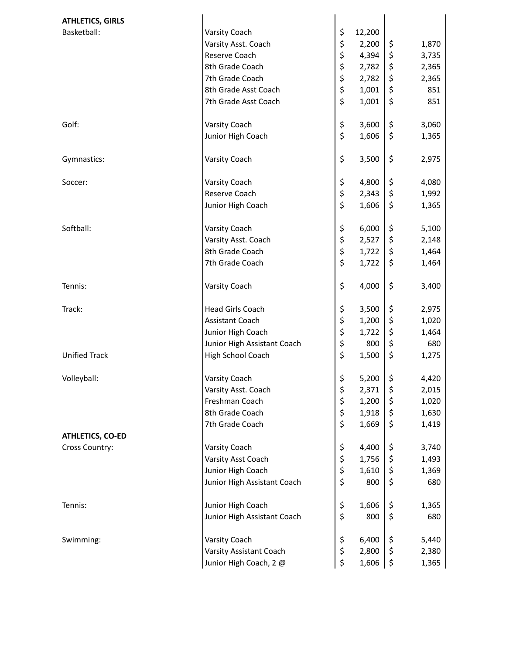| <b>ATHLETICS, GIRLS</b> |                             |              |             |
|-------------------------|-----------------------------|--------------|-------------|
| Basketball:             | Varsity Coach               | \$<br>12,200 |             |
|                         | Varsity Asst. Coach         | \$<br>2,200  | \$<br>1,870 |
|                         | Reserve Coach               | \$<br>4,394  | \$<br>3,735 |
|                         | 8th Grade Coach             | \$<br>2,782  | \$<br>2,365 |
|                         | 7th Grade Coach             | \$<br>2,782  | \$<br>2,365 |
|                         | 8th Grade Asst Coach        | \$<br>1,001  | \$<br>851   |
|                         | 7th Grade Asst Coach        | \$<br>1,001  | \$<br>851   |
|                         |                             |              |             |
| Golf:                   | Varsity Coach               | \$<br>3,600  | \$<br>3,060 |
|                         | Junior High Coach           | \$<br>1,606  | \$<br>1,365 |
|                         |                             |              |             |
| Gymnastics:             | Varsity Coach               | \$<br>3,500  | \$<br>2,975 |
|                         |                             |              |             |
| Soccer:                 | Varsity Coach               | \$<br>4,800  | \$<br>4,080 |
|                         | Reserve Coach               | \$<br>2,343  | \$<br>1,992 |
|                         | Junior High Coach           | \$<br>1,606  | \$<br>1,365 |
|                         |                             |              |             |
| Softball:               | Varsity Coach               | \$<br>6,000  | \$<br>5,100 |
|                         | Varsity Asst. Coach         | \$<br>2,527  | \$<br>2,148 |
|                         | 8th Grade Coach             | \$<br>1,722  | \$<br>1,464 |
|                         | 7th Grade Coach             | \$<br>1,722  | \$<br>1,464 |
|                         |                             |              |             |
| Tennis:                 | Varsity Coach               | \$<br>4,000  | \$<br>3,400 |
|                         |                             |              |             |
| Track:                  | <b>Head Girls Coach</b>     | \$<br>3,500  | \$<br>2,975 |
|                         | Assistant Coach             | \$<br>1,200  | \$<br>1,020 |
|                         | Junior High Coach           | \$<br>1,722  | \$<br>1,464 |
|                         | Junior High Assistant Coach | \$<br>800    | \$<br>680   |
| <b>Unified Track</b>    | High School Coach           | \$<br>1,500  | \$<br>1,275 |
|                         |                             |              |             |
| Volleyball:             | Varsity Coach               | \$<br>5,200  | \$<br>4,420 |
|                         | Varsity Asst. Coach         | \$<br>2,371  | \$<br>2,015 |
|                         | Freshman Coach              | \$<br>1,200  | \$<br>1,020 |
|                         | 8th Grade Coach             | \$<br>1,918  | \$<br>1,630 |
|                         | 7th Grade Coach             | \$<br>1,669  | \$<br>1,419 |
| <b>ATHLETICS, CO-ED</b> |                             |              |             |
| Cross Country:          | Varsity Coach               | \$<br>4,400  | \$<br>3,740 |
|                         | Varsity Asst Coach          | \$<br>1,756  | \$<br>1,493 |
|                         | Junior High Coach           | \$<br>1,610  | \$<br>1,369 |
|                         | Junior High Assistant Coach | \$<br>800    | \$<br>680   |
|                         |                             |              |             |
| Tennis:                 | Junior High Coach           | \$<br>1,606  | \$<br>1,365 |
|                         | Junior High Assistant Coach | \$<br>800    | \$<br>680   |
|                         |                             |              |             |
| Swimming:               | Varsity Coach               | \$<br>6,400  | \$<br>5,440 |
|                         | Varsity Assistant Coach     | \$<br>2,800  | \$<br>2,380 |
|                         | Junior High Coach, 2 @      | \$<br>1,606  | \$<br>1,365 |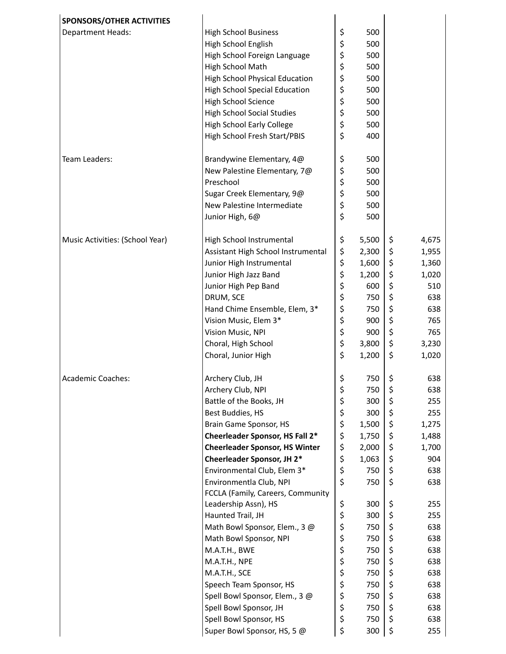| <b>SPONSORS/OTHER ACTIVITIES</b> |                                       |             |             |
|----------------------------------|---------------------------------------|-------------|-------------|
| <b>Department Heads:</b>         | <b>High School Business</b>           | \$<br>500   |             |
|                                  | High School English                   | \$<br>500   |             |
|                                  | High School Foreign Language          | \$<br>500   |             |
|                                  | High School Math                      | \$<br>500   |             |
|                                  | <b>High School Physical Education</b> | \$<br>500   |             |
|                                  | <b>High School Special Education</b>  | \$<br>500   |             |
|                                  | <b>High School Science</b>            | \$<br>500   |             |
|                                  | <b>High School Social Studies</b>     | \$<br>500   |             |
|                                  | <b>High School Early College</b>      | \$<br>500   |             |
|                                  | High School Fresh Start/PBIS          | \$<br>400   |             |
|                                  |                                       |             |             |
| Team Leaders:                    | Brandywine Elementary, 4@             | \$<br>500   |             |
|                                  | New Palestine Elementary, 7@          | \$<br>500   |             |
|                                  | Preschool                             | \$<br>500   |             |
|                                  | Sugar Creek Elementary, 9@            | \$<br>500   |             |
|                                  | New Palestine Intermediate            | \$<br>500   |             |
|                                  | Junior High, 6@                       | \$<br>500   |             |
|                                  |                                       |             |             |
| Music Activities: (School Year)  | High School Instrumental              | \$<br>5,500 | \$<br>4,675 |
|                                  | Assistant High School Instrumental    | \$<br>2,300 | \$<br>1,955 |
|                                  | Junior High Instrumental              | \$<br>1,600 | \$<br>1,360 |
|                                  | Junior High Jazz Band                 | \$<br>1,200 | \$<br>1,020 |
|                                  | Junior High Pep Band                  | \$<br>600   | \$<br>510   |
|                                  | DRUM, SCE                             | \$<br>750   | \$<br>638   |
|                                  | Hand Chime Ensemble, Elem, 3*         | \$<br>750   | \$<br>638   |
|                                  | Vision Music, Elem 3*                 | \$<br>900   | \$<br>765   |
|                                  | Vision Music, NPI                     | \$<br>900   | \$<br>765   |
|                                  | Choral, High School                   | \$<br>3,800 | \$<br>3,230 |
|                                  | Choral, Junior High                   | \$<br>1,200 | \$<br>1,020 |
|                                  |                                       |             |             |
| <b>Academic Coaches:</b>         | Archery Club, JH                      | \$<br>750   | \$<br>638   |
|                                  | Archery Club, NPI                     | \$<br>750   | \$<br>638   |
|                                  | Battle of the Books, JH               | \$<br>300   | \$<br>255   |
|                                  | Best Buddies, HS                      | \$<br>300   | \$<br>255   |
|                                  | Brain Game Sponsor, HS                | \$<br>1,500 | \$<br>1,275 |
|                                  | Cheerleader Sponsor, HS Fall 2*       | \$<br>1,750 | \$<br>1,488 |
|                                  | <b>Cheerleader Sponsor, HS Winter</b> | \$<br>2,000 | \$<br>1,700 |
|                                  | Cheerleader Sponsor, JH 2*            | \$<br>1,063 | \$<br>904   |
|                                  | Environmental Club, Elem 3*           | \$<br>750   | \$<br>638   |
|                                  | Environmentla Club, NPI               | \$<br>750   | \$<br>638   |
|                                  | FCCLA (Family, Careers, Community     |             |             |
|                                  | Leadership Assn), HS                  | \$<br>300   | \$<br>255   |
|                                  | Haunted Trail, JH                     | \$<br>300   | \$<br>255   |
|                                  | Math Bowl Sponsor, Elem., 3 @         | \$<br>750   | \$<br>638   |
|                                  | Math Bowl Sponsor, NPI                | \$<br>750   | \$<br>638   |
|                                  | M.A.T.H., BWE                         | \$<br>750   | \$<br>638   |
|                                  | M.A.T.H., NPE                         | \$<br>750   | \$<br>638   |
|                                  | M.A.T.H., SCE                         | \$<br>750   | \$<br>638   |
|                                  | Speech Team Sponsor, HS               | \$<br>750   | \$<br>638   |
|                                  | Spell Bowl Sponsor, Elem., 3 @        | \$<br>750   | \$<br>638   |
|                                  | Spell Bowl Sponsor, JH                | \$<br>750   | \$<br>638   |
|                                  | Spell Bowl Sponsor, HS                | \$<br>750   | \$<br>638   |
|                                  | Super Bowl Sponsor, HS, 5 @           | \$<br>300   | \$<br>255   |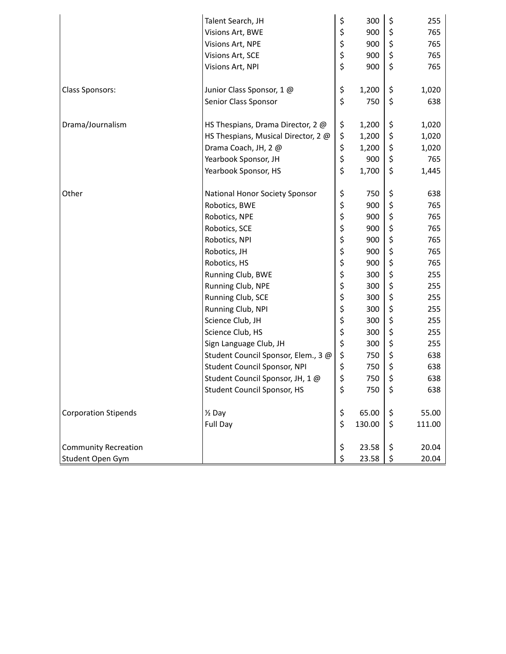|                             | Talent Search, JH                   | \$<br>300    | \$<br>255    |
|-----------------------------|-------------------------------------|--------------|--------------|
|                             | Visions Art, BWE                    | \$<br>900    | \$<br>765    |
|                             | Visions Art, NPE                    | \$<br>900    | \$<br>765    |
|                             | Visions Art, SCE                    | \$<br>900    | \$<br>765    |
|                             | Visions Art, NPI                    | \$<br>900    | \$<br>765    |
|                             |                                     |              |              |
| <b>Class Sponsors:</b>      | Junior Class Sponsor, 1 @           | \$<br>1,200  | \$<br>1,020  |
|                             | Senior Class Sponsor                | \$<br>750    | \$<br>638    |
|                             |                                     |              |              |
| Drama/Journalism            | HS Thespians, Drama Director, 2 @   | \$<br>1,200  | \$<br>1,020  |
|                             | HS Thespians, Musical Director, 2 @ | \$<br>1,200  | \$<br>1,020  |
|                             | Drama Coach, JH, 2 @                | \$<br>1,200  | \$<br>1,020  |
|                             | Yearbook Sponsor, JH                | \$<br>900    | \$<br>765    |
|                             | Yearbook Sponsor, HS                | \$<br>1,700  | \$<br>1,445  |
|                             |                                     |              |              |
| Other                       | National Honor Society Sponsor      | \$<br>750    | \$<br>638    |
|                             | Robotics, BWE                       | \$<br>900    | \$<br>765    |
|                             | Robotics, NPE                       | \$<br>900    | \$<br>765    |
|                             | Robotics, SCE                       | \$<br>900    | \$<br>765    |
|                             | Robotics, NPI                       | \$<br>900    | \$<br>765    |
|                             | Robotics, JH                        | \$<br>900    | \$<br>765    |
|                             | Robotics, HS                        | \$<br>900    | \$<br>765    |
|                             | Running Club, BWE                   | \$<br>300    | \$<br>255    |
|                             | Running Club, NPE                   | \$<br>300    | \$<br>255    |
|                             | Running Club, SCE                   | \$<br>300    | \$<br>255    |
|                             | Running Club, NPI                   | \$<br>300    | \$<br>255    |
|                             | Science Club, JH                    | \$<br>300    | \$<br>255    |
|                             | Science Club, HS                    | \$<br>300    | \$<br>255    |
|                             | Sign Language Club, JH              | \$<br>300    | \$<br>255    |
|                             | Student Council Sponsor, Elem., 3 @ | \$<br>750    | \$<br>638    |
|                             | Student Council Sponsor, NPI        | \$<br>750    | \$<br>638    |
|                             | Student Council Sponsor, JH, 1 @    | \$<br>750    | \$<br>638    |
|                             | <b>Student Council Sponsor, HS</b>  | \$<br>750    | \$<br>638    |
|                             |                                     |              |              |
| <b>Corporation Stipends</b> | $\frac{1}{2}$ Day                   | \$<br>65.00  | \$<br>55.00  |
|                             | Full Day                            | \$<br>130.00 | \$<br>111.00 |
|                             |                                     |              |              |
| <b>Community Recreation</b> |                                     | \$<br>23.58  | \$<br>20.04  |
| Student Open Gym            |                                     | \$<br>23.58  | \$<br>20.04  |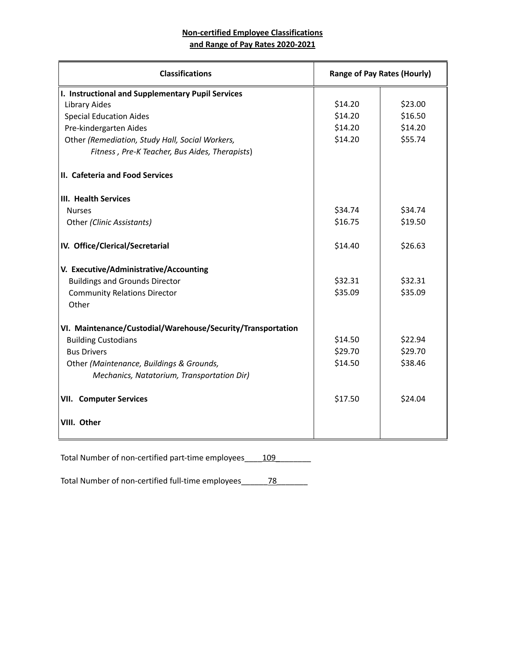## **Non-certified Employee Classifications and Range of Pay Rates 2020-2021**

| <b>Classifications</b>                                      | <b>Range of Pay Rates (Hourly)</b> |         |
|-------------------------------------------------------------|------------------------------------|---------|
| I. Instructional and Supplementary Pupil Services           |                                    |         |
| <b>Library Aides</b>                                        | \$14.20                            | \$23.00 |
| <b>Special Education Aides</b>                              | \$14.20                            | \$16.50 |
| Pre-kindergarten Aides                                      | \$14.20                            | \$14.20 |
| Other (Remediation, Study Hall, Social Workers,             | \$14.20                            | \$55.74 |
| Fitness, Pre-K Teacher, Bus Aides, Therapists)              |                                    |         |
| II. Cafeteria and Food Services                             |                                    |         |
| III. Health Services                                        |                                    |         |
| <b>Nurses</b>                                               | \$34.74                            | \$34.74 |
| Other (Clinic Assistants)                                   | \$16.75                            | \$19.50 |
| IV. Office/Clerical/Secretarial                             | \$14.40                            | \$26.63 |
| V. Executive/Administrative/Accounting                      |                                    |         |
| <b>Buildings and Grounds Director</b>                       | \$32.31                            | \$32.31 |
| <b>Community Relations Director</b>                         | \$35.09                            | \$35.09 |
| Other                                                       |                                    |         |
| VI. Maintenance/Custodial/Warehouse/Security/Transportation |                                    |         |
| <b>Building Custodians</b>                                  | \$14.50                            | \$22.94 |
| <b>Bus Drivers</b>                                          | \$29.70                            | \$29.70 |
| Other (Maintenance, Buildings & Grounds,                    | \$14.50                            | \$38.46 |
| Mechanics, Natatorium, Transportation Dir)                  |                                    |         |
| <b>VII. Computer Services</b>                               | \$17.50                            | \$24.04 |
| VIII. Other                                                 |                                    |         |

Total Number of non-certified part-time employees\_\_\_\_109\_\_\_\_\_\_\_\_\_

Total Number of non-certified full-time employees\_\_\_\_\_\_\_78\_\_\_\_\_\_\_\_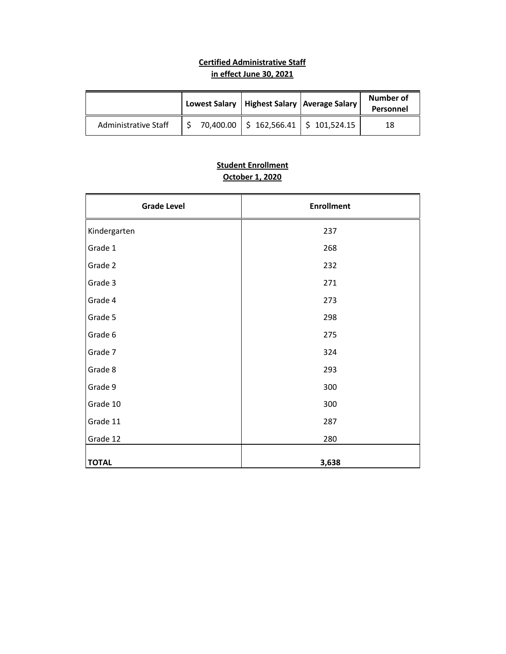# **Certified Administrative Staff in effect June 30, 2021**

|                      | Lowest Salary   Highest Salary   Average Salary | Number of<br>Personnel |
|----------------------|-------------------------------------------------|------------------------|
| Administrative Staff | $70,400.00$   \$ 162,566.41   \$ 101,524.15     | 18                     |

# **Student Enrollment October 1, 2020**

| <b>Grade Level</b> | <b>Enrollment</b> |
|--------------------|-------------------|
| Kindergarten       | 237               |
| Grade 1            | 268               |
| Grade 2            | 232               |
| Grade 3            | 271               |
| Grade 4            | 273               |
| Grade 5            | 298               |
| Grade 6            | 275               |
| Grade 7            | 324               |
| Grade 8            | 293               |
| Grade 9            | 300               |
| Grade 10           | 300               |
| Grade 11           | 287               |
| Grade 12           | 280               |
| <b>TOTAL</b>       | 3,638             |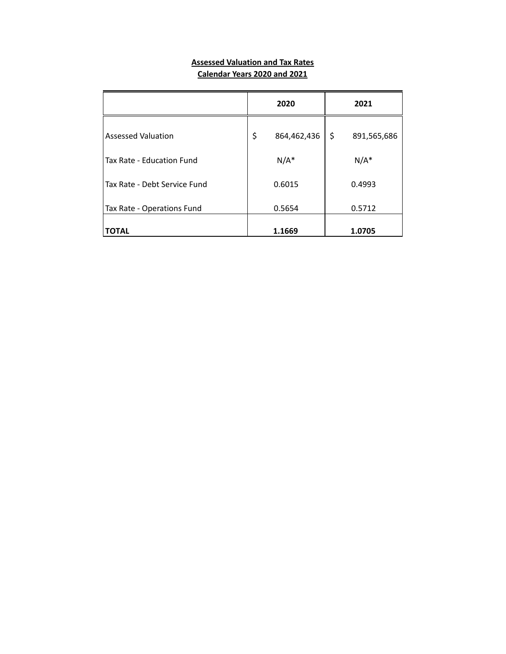#### **Assessed Valuation and Tax Rates Calendar Years 2020 and 2021**

|                              | 2020              | 2021              |
|------------------------------|-------------------|-------------------|
| Assessed Valuation           | \$<br>864,462,436 | \$<br>891,565,686 |
| Tax Rate - Education Fund    | $N/A^*$           | $N/A^*$           |
| Tax Rate - Debt Service Fund | 0.6015            | 0.4993            |
| Tax Rate - Operations Fund   | 0.5654            | 0.5712            |
| <b>TOTAL</b>                 | 1.1669            | 1.0705            |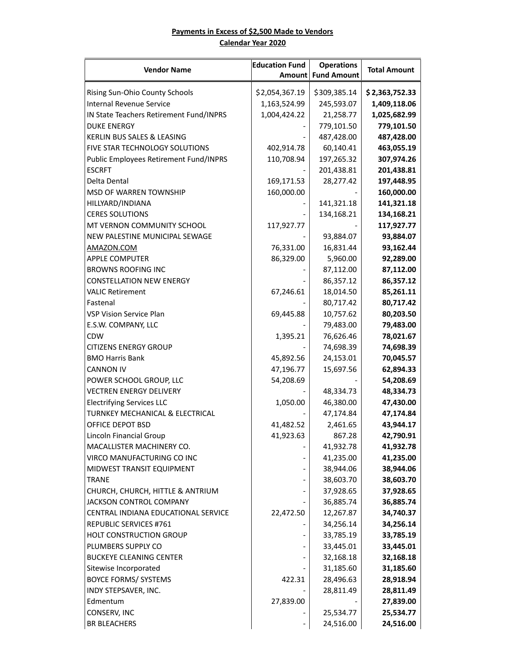#### **Payments in Excess of \$2,500 Made to Vendors Calendar Year 2020**

| <b>Vendor Name</b>                      | <b>Education Fund</b> | <b>Operations</b>  | <b>Total Amount</b> |
|-----------------------------------------|-----------------------|--------------------|---------------------|
|                                         | Amount                | <b>Fund Amount</b> |                     |
| Rising Sun-Ohio County Schools          | \$2,054,367.19        | \$309,385.14       | \$2,363,752.33      |
| <b>Internal Revenue Service</b>         | 1,163,524.99          | 245,593.07         | 1,409,118.06        |
| IN State Teachers Retirement Fund/INPRS | 1,004,424.22          | 21,258.77          | 1,025,682.99        |
| <b>DUKE ENERGY</b>                      |                       | 779,101.50         | 779,101.50          |
| KERLIN BUS SALES & LEASING              |                       | 487,428.00         | 487,428.00          |
| FIVE STAR TECHNOLOGY SOLUTIONS          | 402,914.78            | 60,140.41          | 463,055.19          |
| Public Employees Retirement Fund/INPRS  | 110,708.94            | 197,265.32         | 307,974.26          |
| <b>ESCRFT</b>                           |                       | 201,438.81         | 201,438.81          |
| Delta Dental                            | 169,171.53            | 28,277.42          | 197,448.95          |
| MSD OF WARREN TOWNSHIP                  | 160,000.00            |                    | 160,000.00          |
| HILLYARD/INDIANA                        |                       | 141,321.18         | 141,321.18          |
| <b>CERES SOLUTIONS</b>                  |                       | 134,168.21         | 134,168.21          |
| MT VERNON COMMUNITY SCHOOL              | 117,927.77            |                    | 117,927.77          |
| NEW PALESTINE MUNICIPAL SEWAGE          |                       | 93,884.07          | 93,884.07           |
| AMAZON.COM                              | 76,331.00             | 16,831.44          | 93,162.44           |
| <b>APPLE COMPUTER</b>                   | 86,329.00             | 5,960.00           | 92,289.00           |
| <b>BROWNS ROOFING INC</b>               |                       | 87,112.00          | 87,112.00           |
| <b>CONSTELLATION NEW ENERGY</b>         |                       | 86,357.12          | 86,357.12           |
| <b>VALIC Retirement</b>                 | 67,246.61             | 18,014.50          | 85,261.11           |
| Fastenal                                |                       | 80,717.42          | 80,717.42           |
| <b>VSP Vision Service Plan</b>          | 69,445.88             | 10,757.62          | 80,203.50           |
| E.S.W. COMPANY, LLC                     |                       | 79,483.00          | 79,483.00           |
| <b>CDW</b>                              | 1,395.21              | 76,626.46          | 78,021.67           |
| <b>CITIZENS ENERGY GROUP</b>            |                       | 74,698.39          | 74,698.39           |
| <b>BMO Harris Bank</b>                  | 45,892.56             | 24,153.01          | 70,045.57           |
| <b>CANNON IV</b>                        | 47,196.77             | 15,697.56          | 62,894.33           |
| POWER SCHOOL GROUP, LLC                 | 54,208.69             |                    | 54,208.69           |
| <b>VECTREN ENERGY DELIVERY</b>          |                       | 48,334.73          | 48,334.73           |
| <b>Electrifying Services LLC</b>        | 1,050.00              | 46,380.00          | 47,430.00           |
| TURNKEY MECHANICAL & ELECTRICAL         |                       | 47,174.84          | 47,174.84           |
| <b>OFFICE DEPOT BSD</b>                 | 41,482.52             | 2,461.65           | 43,944.17           |
| Lincoln Financial Group                 | 41,923.63             | 867.28             | 42,790.91           |
| MACALLISTER MACHINERY CO.               |                       | 41,932.78          | 41,932.78           |
| VIRCO MANUFACTURING CO INC              |                       | 41,235.00          | 41,235.00           |
| MIDWEST TRANSIT EQUIPMENT               |                       | 38,944.06          | 38,944.06           |
| <b>TRANE</b>                            |                       | 38,603.70          | 38,603.70           |
| CHURCH, CHURCH, HITTLE & ANTRIUM        |                       | 37,928.65          | 37,928.65           |
| <b>JACKSON CONTROL COMPANY</b>          |                       | 36,885.74          | 36,885.74           |
| CENTRAL INDIANA EDUCATIONAL SERVICE     | 22,472.50             | 12,267.87          | 34,740.37           |
| REPUBLIC SERVICES #761                  |                       | 34,256.14          | 34,256.14           |
| <b>HOLT CONSTRUCTION GROUP</b>          |                       | 33,785.19          | 33,785.19           |
| PLUMBERS SUPPLY CO                      |                       | 33,445.01          | 33,445.01           |
| <b>BUCKEYE CLEANING CENTER</b>          |                       | 32,168.18          | 32,168.18           |
| Sitewise Incorporated                   |                       | 31,185.60          | 31,185.60           |
| <b>BOYCE FORMS/ SYSTEMS</b>             | 422.31                | 28,496.63          | 28,918.94           |
| INDY STEPSAVER, INC.                    |                       | 28,811.49          | 28,811.49           |
| Edmentum                                | 27,839.00             |                    | 27,839.00           |
| CONSERV, INC                            |                       | 25,534.77          | 25,534.77           |
| <b>BR BLEACHERS</b>                     |                       | 24,516.00          | 24,516.00           |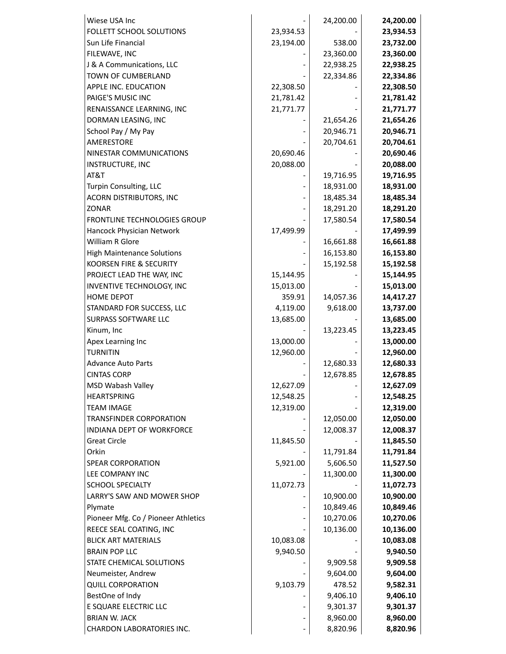| Wiese USA Inc                       |           | 24,200.00 | 24,200.00 |
|-------------------------------------|-----------|-----------|-----------|
| FOLLETT SCHOOL SOLUTIONS            | 23,934.53 |           | 23,934.53 |
| Sun Life Financial                  | 23,194.00 | 538.00    | 23,732.00 |
| FILEWAVE, INC                       |           | 23,360.00 | 23,360.00 |
| J & A Communications, LLC           |           | 22,938.25 | 22,938.25 |
| TOWN OF CUMBERLAND                  |           | 22,334.86 | 22,334.86 |
| APPLE INC. EDUCATION                | 22,308.50 |           | 22,308.50 |
| PAIGE'S MUSIC INC                   | 21,781.42 |           | 21,781.42 |
| RENAISSANCE LEARNING, INC           | 21,771.77 |           | 21,771.77 |
| DORMAN LEASING, INC                 |           | 21,654.26 | 21,654.26 |
| School Pay / My Pay                 |           | 20,946.71 | 20,946.71 |
| AMERESTORE                          |           | 20,704.61 | 20,704.61 |
| NINESTAR COMMUNICATIONS             | 20,690.46 |           | 20,690.46 |
| INSTRUCTURE, INC                    | 20,088.00 |           | 20,088.00 |
| AT&T                                |           | 19,716.95 | 19,716.95 |
| Turpin Consulting, LLC              |           | 18,931.00 | 18,931.00 |
| <b>ACORN DISTRIBUTORS, INC</b>      |           | 18,485.34 | 18,485.34 |
| <b>ZONAR</b>                        |           | 18,291.20 | 18,291.20 |
| FRONTLINE TECHNOLOGIES GROUP        |           | 17,580.54 | 17,580.54 |
| Hancock Physician Network           | 17,499.99 |           | 17,499.99 |
| William R Glore                     |           | 16,661.88 | 16,661.88 |
| <b>High Maintenance Solutions</b>   |           | 16,153.80 | 16,153.80 |
| KOORSEN FIRE & SECURITY             |           | 15,192.58 | 15,192.58 |
| PROJECT LEAD THE WAY, INC           | 15,144.95 |           | 15,144.95 |
| INVENTIVE TECHNOLOGY, INC           | 15,013.00 |           | 15,013.00 |
| <b>HOME DEPOT</b>                   | 359.91    | 14,057.36 | 14,417.27 |
| STANDARD FOR SUCCESS, LLC           | 4,119.00  | 9,618.00  | 13,737.00 |
| SURPASS SOFTWARE LLC                | 13,685.00 |           | 13,685.00 |
| Kinum, Inc                          |           | 13,223.45 | 13,223.45 |
| Apex Learning Inc                   | 13,000.00 |           | 13,000.00 |
| <b>TURNITIN</b>                     | 12,960.00 |           | 12,960.00 |
| <b>Advance Auto Parts</b>           |           | 12,680.33 | 12,680.33 |
| <b>CINTAS CORP</b>                  |           | 12,678.85 | 12,678.85 |
| MSD Wabash Valley                   | 12,627.09 |           | 12,627.09 |
| <b>HEARTSPRING</b>                  | 12,548.25 |           | 12,548.25 |
| <b>TEAM IMAGE</b>                   | 12,319.00 |           | 12,319.00 |
| <b>TRANSFINDER CORPORATION</b>      |           | 12,050.00 | 12,050.00 |
| INDIANA DEPT OF WORKFORCE           |           | 12,008.37 | 12,008.37 |
| <b>Great Circle</b>                 | 11,845.50 |           | 11,845.50 |
| Orkin                               |           | 11,791.84 | 11,791.84 |
| SPEAR CORPORATION                   | 5,921.00  | 5,606.50  | 11,527.50 |
| LEE COMPANY INC                     |           | 11,300.00 | 11,300.00 |
| <b>SCHOOL SPECIALTY</b>             | 11,072.73 |           | 11,072.73 |
| LARRY'S SAW AND MOWER SHOP          |           | 10,900.00 | 10,900.00 |
| Plymate                             |           | 10,849.46 | 10,849.46 |
| Pioneer Mfg. Co / Pioneer Athletics |           | 10,270.06 | 10,270.06 |
| REECE SEAL COATING, INC             |           | 10,136.00 | 10,136.00 |
| <b>BLICK ART MATERIALS</b>          | 10,083.08 |           | 10,083.08 |
| <b>BRAIN POP LLC</b>                | 9,940.50  |           | 9,940.50  |
| STATE CHEMICAL SOLUTIONS            |           | 9,909.58  | 9,909.58  |
| Neumeister, Andrew                  |           | 9,604.00  | 9,604.00  |
| <b>QUILL CORPORATION</b>            | 9,103.79  | 478.52    | 9,582.31  |
| BestOne of Indy                     |           | 9,406.10  | 9,406.10  |
| E SQUARE ELECTRIC LLC               |           | 9,301.37  | 9,301.37  |
| <b>BRIAN W. JACK</b>                |           | 8,960.00  | 8,960.00  |
| CHARDON LABORATORIES INC.           |           | 8,820.96  | 8,820.96  |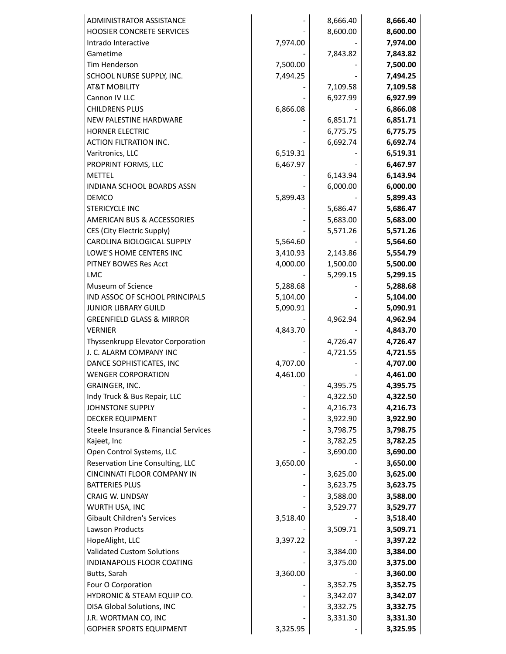| ADMINISTRATOR ASSISTANCE              |          | 8,666.40 | 8,666.40 |
|---------------------------------------|----------|----------|----------|
| HOOSIER CONCRETE SERVICES             |          | 8,600.00 | 8,600.00 |
| Intrado Interactive                   | 7,974.00 |          | 7,974.00 |
| Gametime                              |          | 7,843.82 | 7,843.82 |
| Tim Henderson                         | 7,500.00 |          | 7,500.00 |
| SCHOOL NURSE SUPPLY, INC.             | 7,494.25 |          | 7,494.25 |
| <b>AT&amp;T MOBILITY</b>              |          | 7,109.58 | 7,109.58 |
| Cannon IV LLC                         |          | 6,927.99 | 6,927.99 |
| <b>CHILDRENS PLUS</b>                 | 6,866.08 |          | 6,866.08 |
| NEW PALESTINE HARDWARE                |          | 6,851.71 | 6,851.71 |
| <b>HORNER ELECTRIC</b>                |          | 6,775.75 | 6,775.75 |
| <b>ACTION FILTRATION INC.</b>         |          | 6,692.74 | 6,692.74 |
| Varitronics, LLC                      | 6,519.31 |          | 6,519.31 |
| PROPRINT FORMS, LLC                   | 6,467.97 |          | 6,467.97 |
| <b>METTEL</b>                         |          | 6,143.94 | 6,143.94 |
| INDIANA SCHOOL BOARDS ASSN            |          | 6,000.00 | 6,000.00 |
| <b>DEMCO</b>                          | 5,899.43 |          | 5,899.43 |
| <b>STERICYCLE INC</b>                 |          | 5,686.47 | 5,686.47 |
| <b>AMERICAN BUS &amp; ACCESSORIES</b> |          | 5,683.00 | 5,683.00 |
| CES (City Electric Supply)            |          | 5,571.26 | 5,571.26 |
| CAROLINA BIOLOGICAL SUPPLY            | 5,564.60 |          | 5,564.60 |
| LOWE'S HOME CENTERS INC               | 3,410.93 | 2,143.86 | 5,554.79 |
| PITNEY BOWES Res Acct                 | 4,000.00 | 1,500.00 | 5,500.00 |
| LMC                                   |          | 5,299.15 | 5,299.15 |
| Museum of Science                     | 5,288.68 |          | 5,288.68 |
| IND ASSOC OF SCHOOL PRINCIPALS        | 5,104.00 |          | 5,104.00 |
| <b>JUNIOR LIBRARY GUILD</b>           | 5,090.91 |          | 5,090.91 |
| <b>GREENFIELD GLASS &amp; MIRROR</b>  |          | 4,962.94 | 4,962.94 |
| <b>VERNIER</b>                        | 4,843.70 |          | 4,843.70 |
| Thyssenkrupp Elevator Corporation     |          | 4,726.47 | 4,726.47 |
| J. C. ALARM COMPANY INC               |          | 4,721.55 | 4,721.55 |
| DANCE SOPHISTICATES, INC              | 4,707.00 |          | 4,707.00 |
| <b>WENGER CORPORATION</b>             | 4,461.00 |          | 4,461.00 |
| GRAINGER, INC.                        |          | 4,395.75 | 4,395.75 |
| Indy Truck & Bus Repair, LLC          |          | 4,322.50 | 4,322.50 |
| <b>JOHNSTONE SUPPLY</b>               |          | 4,216.73 | 4,216.73 |
| <b>DECKER EQUIPMENT</b>               |          | 3,922.90 | 3,922.90 |
| Steele Insurance & Financial Services |          | 3,798.75 | 3,798.75 |
| Kajeet, Inc                           |          | 3,782.25 | 3,782.25 |
| Open Control Systems, LLC             |          | 3,690.00 | 3,690.00 |
| Reservation Line Consulting, LLC      | 3,650.00 |          | 3,650.00 |
| CINCINNATI FLOOR COMPANY IN           |          | 3,625.00 | 3,625.00 |
| <b>BATTERIES PLUS</b>                 |          | 3,623.75 | 3,623.75 |
| CRAIG W. LINDSAY                      |          | 3,588.00 | 3,588.00 |
| WURTH USA, INC                        |          | 3,529.77 | 3,529.77 |
| <b>Gibault Children's Services</b>    | 3,518.40 |          | 3,518.40 |
| Lawson Products                       |          | 3,509.71 | 3,509.71 |
| HopeAlight, LLC                       | 3,397.22 |          | 3,397.22 |
| <b>Validated Custom Solutions</b>     |          | 3,384.00 | 3,384.00 |
| INDIANAPOLIS FLOOR COATING            |          | 3,375.00 | 3,375.00 |
| Butts, Sarah                          | 3,360.00 |          | 3,360.00 |
| Four O Corporation                    |          | 3,352.75 | 3,352.75 |
| HYDRONIC & STEAM EQUIP CO.            |          | 3,342.07 | 3,342.07 |
| DISA Global Solutions, INC            |          | 3,332.75 | 3,332.75 |
| J.R. WORTMAN CO, INC                  |          | 3,331.30 |          |
|                                       |          |          | 3,331.30 |
| <b>GOPHER SPORTS EQUIPMENT</b>        | 3,325.95 |          | 3,325.95 |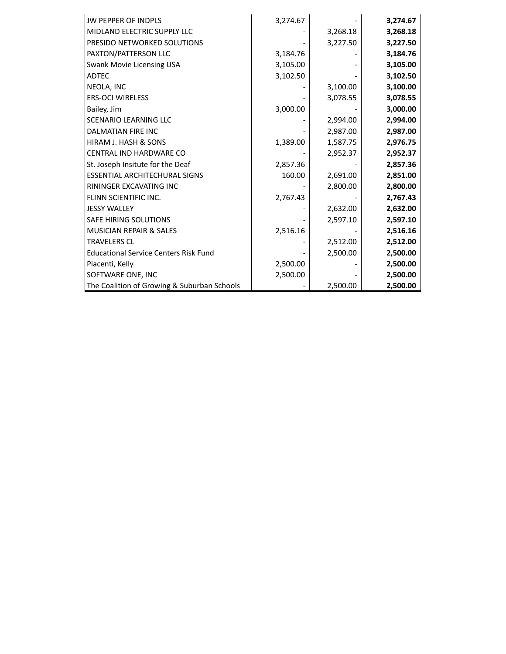| <b>JW PEPPER OF INDPLS</b>                   | 3,274.67 |          | 3,274.67 |
|----------------------------------------------|----------|----------|----------|
| MIDLAND ELECTRIC SUPPLY LLC                  |          | 3,268.18 | 3,268.18 |
| PRESIDO NETWORKED SOLUTIONS                  |          | 3,227.50 | 3,227.50 |
| PAXTON/PATTERSON LLC                         | 3,184.76 |          | 3,184.76 |
| Swank Movie Licensing USA                    | 3,105.00 |          | 3,105.00 |
| <b>ADTEC</b>                                 | 3,102.50 |          | 3,102.50 |
| NEOLA, INC                                   |          | 3,100.00 | 3,100.00 |
| <b>ERS-OCI WIRELESS</b>                      |          | 3,078.55 | 3,078.55 |
| Bailey, Jim                                  | 3,000.00 |          | 3,000.00 |
| <b>SCENARIO LEARNING LLC</b>                 |          | 2,994.00 | 2,994.00 |
| <b>DALMATIAN FIRE INC</b>                    |          | 2,987.00 | 2,987.00 |
| HIRAM J. HASH & SONS                         | 1,389.00 | 1,587.75 | 2,976.75 |
| CENTRAL IND HARDWARE CO                      |          | 2,952.37 | 2,952.37 |
| St. Joseph Insitute for the Deaf             | 2,857.36 |          | 2,857.36 |
| <b>ESSENTIAL ARCHITECHURAL SIGNS</b>         | 160.00   | 2,691.00 | 2,851.00 |
| RININGER EXCAVATING INC                      |          | 2,800.00 | 2,800.00 |
| FLINN SCIENTIFIC INC.                        | 2,767.43 |          | 2,767.43 |
| <b>JESSY WALLEY</b>                          |          | 2,632.00 | 2,632.00 |
| <b>SAFE HIRING SOLUTIONS</b>                 |          | 2,597.10 | 2,597.10 |
| MUSICIAN REPAIR & SALES                      | 2,516.16 |          | 2,516.16 |
| <b>TRAVELERS CL</b>                          |          | 2,512.00 | 2,512.00 |
| <b>Educational Service Centers Risk Fund</b> |          | 2,500.00 | 2,500.00 |
| Piacenti, Kelly                              | 2,500.00 |          | 2,500.00 |
| SOFTWARE ONE, INC                            | 2,500.00 |          | 2,500.00 |
| The Coalition of Growing & Suburban Schools  |          | 2,500.00 | 2,500.00 |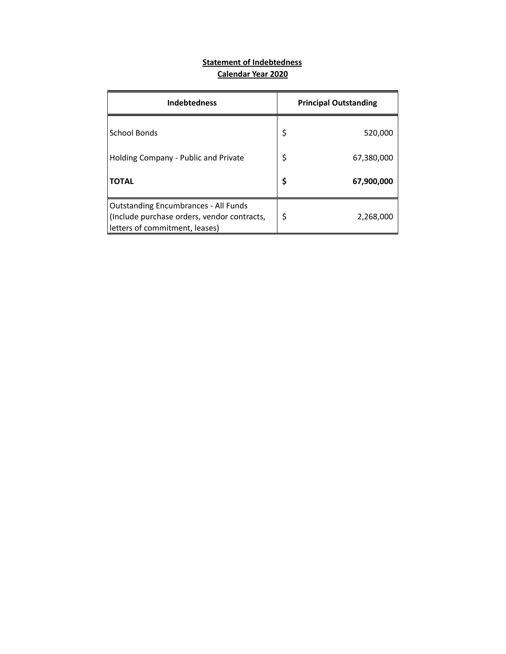# **Statement of Indebtedness Calendar Year 2020**

| <b>Indebtedness</b>                                                                                                          | <b>Principal Outstanding</b> |
|------------------------------------------------------------------------------------------------------------------------------|------------------------------|
| School Bonds                                                                                                                 | \$<br>520,000                |
| Holding Company - Public and Private                                                                                         | \$<br>67,380,000             |
| <b>TOTAL</b>                                                                                                                 | \$<br>67,900,000             |
| <b>Outstanding Encumbrances - All Funds</b><br>(Include purchase orders, vendor contracts,<br>letters of commitment, leases) | \$<br>2,268,000              |